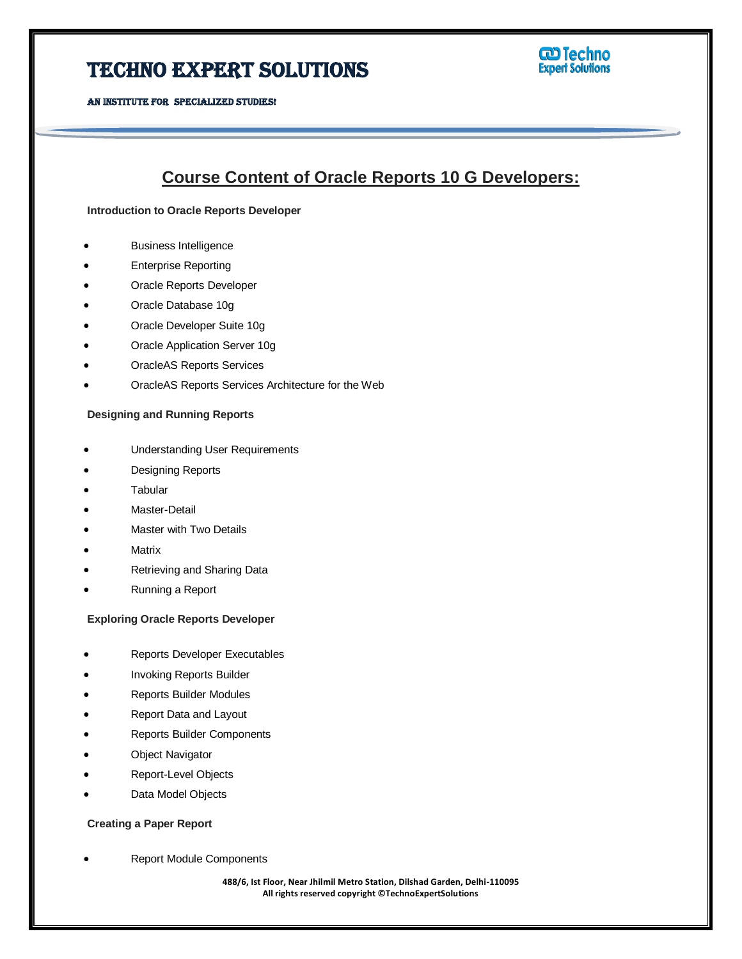**W** Techno<br>Expert Solutions

AN INSTITUTE FOR SPECIALIZED STUDIES!

### **Course Content of Oracle Reports 10 G Developers:**

**Introduction to Oracle Reports Developer**

- Business Intelligence
- Enterprise Reporting
- Oracle Reports Developer
- Oracle Database 10g
- Oracle Developer Suite 10g
- Oracle Application Server 10g
- OracleAS Reports Services
- OracleAS Reports Services Architecture for the Web

#### **Designing and Running Reports**

- Understanding User Requirements
- Designing Reports
- **Tabular**
- Master-Detail
- Master with Two Details
- **Matrix**
- Retrieving and Sharing Data
- Running a Report

#### **Exploring Oracle Reports Developer**

- Reports Developer Executables
- Invoking Reports Builder
- Reports Builder Modules
- Report Data and Layout
- Reports Builder Components
- Object Navigator
- Report-Level Objects
- Data Model Objects

#### **Creating a Paper Report**

Report Module Components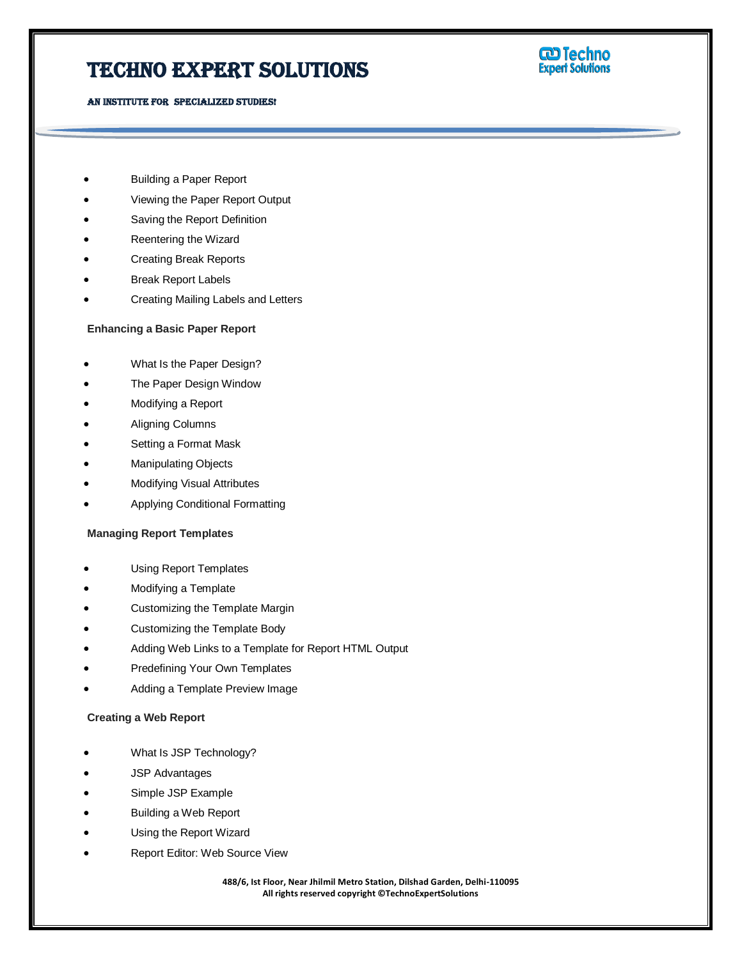AN INSTITUTE FOR SPECIALIZED STUDIES!



- Building a Paper Report
- Viewing the Paper Report Output
- Saving the Report Definition
- Reentering the Wizard
- Creating Break Reports
- Break Report Labels
- Creating Mailing Labels and Letters

#### **Enhancing a Basic Paper Report**

- What Is the Paper Design?
- The Paper Design Window
- Modifying a Report
- Aligning Columns
- Setting a Format Mask
- Manipulating Objects
- Modifying Visual Attributes
- Applying Conditional Formatting

#### **Managing Report Templates**

- Using Report Templates
- Modifying a Template
- Customizing the Template Margin
- Customizing the Template Body
- Adding Web Links to a Template for Report HTML Output
- Predefining Your Own Templates
- Adding a Template Preview Image

#### **Creating a Web Report**

- What Is JSP Technology?
- JSP Advantages
- Simple JSP Example
- Building a Web Report
- Using the Report Wizard
- Report Editor: Web Source View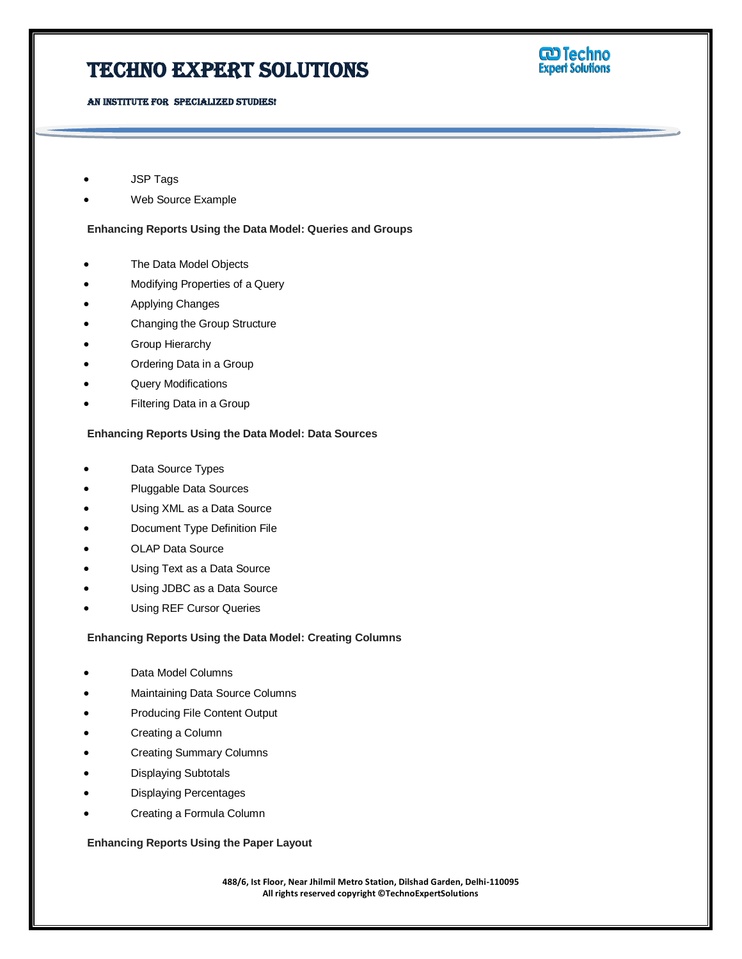# **W** Techno<br>Expert Solutions

AN INSTITUTE FOR SPECIALIZED STUDIES!

- JSP Tags
- Web Source Example

**Enhancing Reports Using the Data Model: Queries and Groups**

- The Data Model Objects
- Modifying Properties of a Query
- Applying Changes
- Changing the Group Structure
- Group Hierarchy
- Ordering Data in a Group
- Query Modifications
- Filtering Data in a Group

#### **Enhancing Reports Using the Data Model: Data Sources**

- Data Source Types
- Pluggable Data Sources
- Using XML as a Data Source
- Document Type Definition File
- OLAP Data Source
- Using Text as a Data Source
- Using JDBC as a Data Source
- Using REF Cursor Queries

#### **Enhancing Reports Using the Data Model: Creating Columns**

- Data Model Columns
- Maintaining Data Source Columns
- Producing File Content Output
- Creating a Column
- Creating Summary Columns
- Displaying Subtotals
- Displaying Percentages
- Creating a Formula Column

**Enhancing Reports Using the Paper Layout**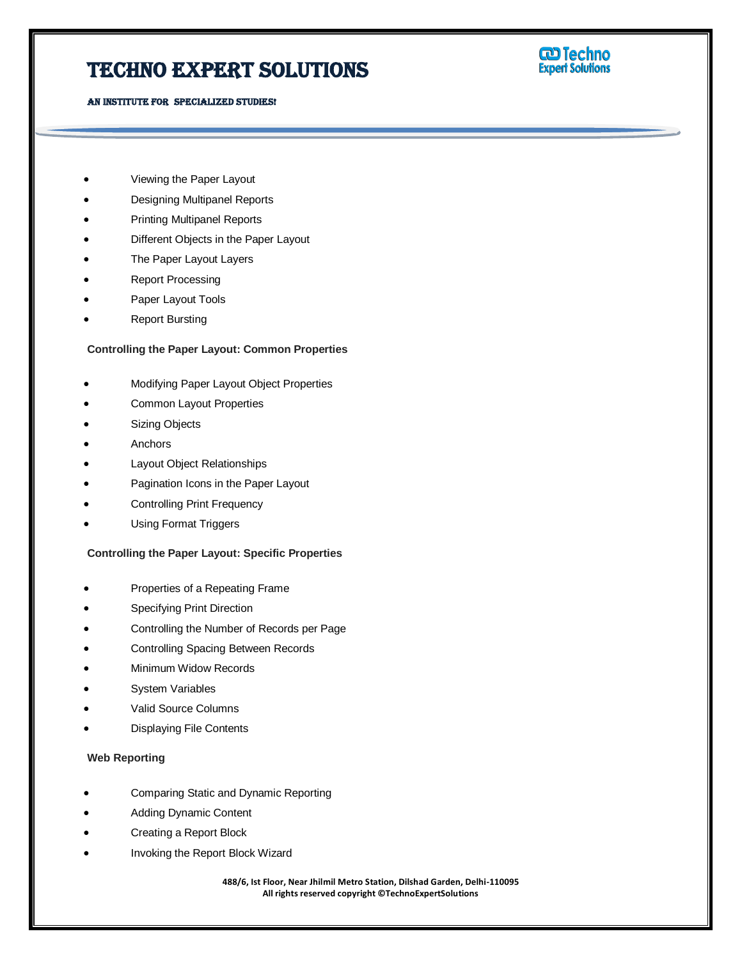AN INSTITUTE FOR SPECIALIZED STUDIES!



- Viewing the Paper Layout
- Designing Multipanel Reports
- Printing Multipanel Reports
- Different Objects in the Paper Layout
- The Paper Layout Layers
- Report Processing
- Paper Layout Tools
- Report Bursting

#### **Controlling the Paper Layout: Common Properties**

- Modifying Paper Layout Object Properties
- Common Layout Properties
- Sizing Objects
- Anchors
- Layout Object Relationships
- Pagination Icons in the Paper Layout
- Controlling Print Frequency
- Using Format Triggers

#### **Controlling the Paper Layout: Specific Properties**

- Properties of a Repeating Frame
- Specifying Print Direction
- Controlling the Number of Records per Page
- Controlling Spacing Between Records
- Minimum Widow Records
- System Variables
- Valid Source Columns
- Displaying File Contents

#### **Web Reporting**

- Comparing Static and Dynamic Reporting
- Adding Dynamic Content
- Creating a Report Block
- Invoking the Report Block Wizard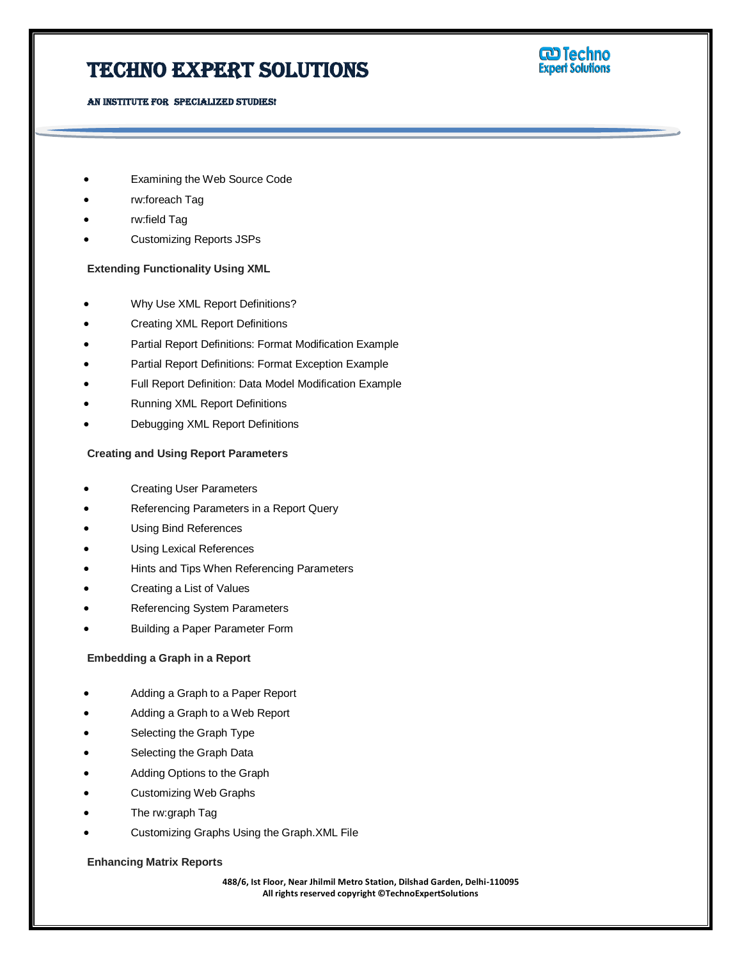AN INSTITUTE FOR SPECIALIZED STUDIES!



#### Examining the Web Source Code

- rw:foreach Tag
- rw:field Tag
- Customizing Reports JSPs

#### **Extending Functionality Using XML**

- Why Use XML Report Definitions?
- Creating XML Report Definitions
- Partial Report Definitions: Format Modification Example
- Partial Report Definitions: Format Exception Example
- Full Report Definition: Data Model Modification Example
- Running XML Report Definitions
- Debugging XML Report Definitions

#### **Creating and Using Report Parameters**

- Creating User Parameters
- Referencing Parameters in a Report Query
- Using Bind References
- Using Lexical References
- Hints and Tips When Referencing Parameters
- Creating a List of Values
- Referencing System Parameters
- Building a Paper Parameter Form

#### **Embedding a Graph in a Report**

- Adding a Graph to a Paper Report
- Adding a Graph to a Web Report
- Selecting the Graph Type
- Selecting the Graph Data
- Adding Options to the Graph
- Customizing Web Graphs
- The rw:graph Tag
- Customizing Graphs Using the Graph.XML File

#### **Enhancing Matrix Reports**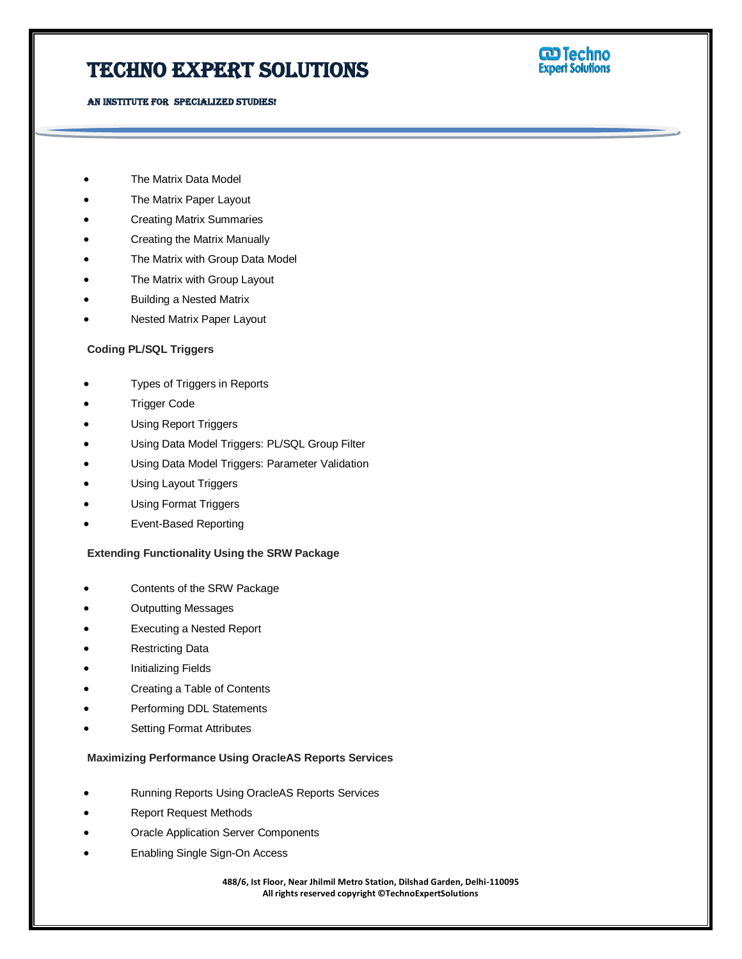### Techno Expert Solutions

AN INSTITUTE FOR SPECIALIZED STUDIES!



- The Matrix Data Model
- The Matrix Paper Layout
- Creating Matrix Summaries
- Creating the Matrix Manually
- The Matrix with Group Data Model
- The Matrix with Group Layout
- Building a Nested Matrix
- Nested Matrix Paper Layout

#### **Coding PL/SQL Triggers**

- Types of Triggers in Reports
- Trigger Code
- Using Report Triggers
- Using Data Model Triggers: PL/SQL Group Filter
- Using Data Model Triggers: Parameter Validation
- Using Layout Triggers
- Using Format Triggers
- Event-Based Reporting

#### **Extending Functionality Using the SRW Package**

- Contents of the SRW Package
- Outputting Messages
- Executing a Nested Report
- Restricting Data
- Initializing Fields
- Creating a Table of Contents
- Performing DDL Statements
- Setting Format Attributes

#### **Maximizing Performance Using OracleAS Reports Services**

- Running Reports Using OracleAS Reports Services
- Report Request Methods
- Oracle Application Server Components
- Enabling Single Sign-On Access